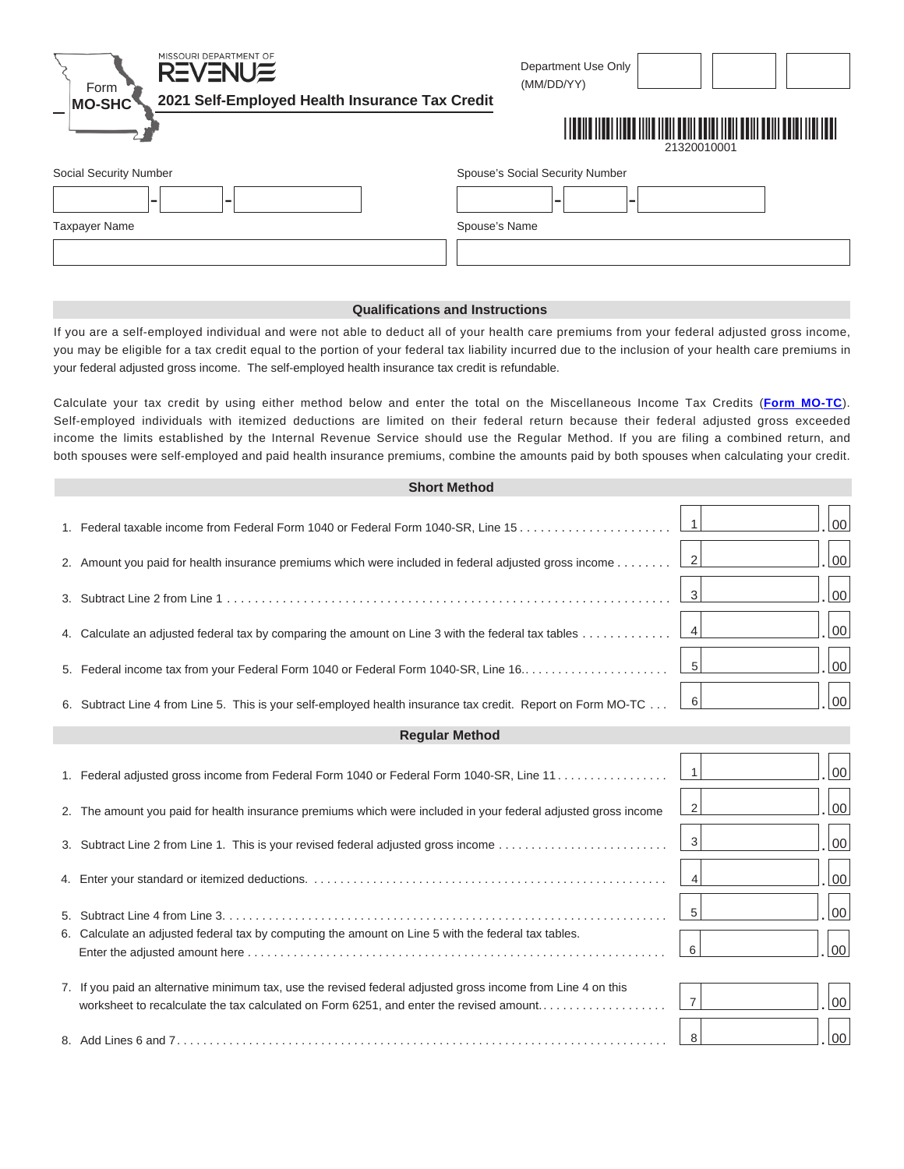| MISSOURI DEPARTMENT OF<br><b>REVENUE</b><br>Form           | Department Use Only<br>(MM/DD/YY) |
|------------------------------------------------------------|-----------------------------------|
| 2021 Self-Employed Health Insurance Tax Credit<br>$MO-SHC$ |                                   |
|                                                            | 21320010001                       |
| Social Security Number                                     | Spouse's Social Security Number   |
| ۰<br>-                                                     | -                                 |
| <b>Taxpayer Name</b>                                       | Spouse's Name                     |
|                                                            |                                   |

## **Qualifications and Instructions**

If you are a self-employed individual and were not able to deduct all of your health care premiums from your federal adjusted gross income, you may be eligible for a tax credit equal to the portion of your federal tax liability incurred due to the inclusion of your health care premiums in your federal adjusted gross income. The self-employed health insurance tax credit is refundable.

Calculate your tax credit by using either method below and enter the total on the Miscellaneous Income Tax Credits (**Form MO-TC**). Self-employed individuals with itemized deductions are limited on their federal return because their federal adjusted gross exceeded income the limits established by the Internal Revenue Service should use the Regular Method. If you are filing a combined return, and both spouses were self-employed and paid health insurance premiums, combine the amounts paid by both spouses when calculating your credit.

|                       | <b>Short Method</b>                                                                                                                                                                                    |                |                |  |  |  |
|-----------------------|--------------------------------------------------------------------------------------------------------------------------------------------------------------------------------------------------------|----------------|----------------|--|--|--|
|                       |                                                                                                                                                                                                        | $\vert$ 1      | 00             |  |  |  |
|                       | 2. Amount you paid for health insurance premiums which were included in federal adjusted gross income                                                                                                  | $\vert$ 2      | 00             |  |  |  |
|                       |                                                                                                                                                                                                        | 3              | 00             |  |  |  |
|                       | 4. Calculate an adjusted federal tax by comparing the amount on Line 3 with the federal tax tables                                                                                                     | $\overline{4}$ | 00             |  |  |  |
|                       |                                                                                                                                                                                                        | 5              | 00             |  |  |  |
|                       | 6. Subtract Line 4 from Line 5. This is your self-employed health insurance tax credit. Report on Form MO-TC                                                                                           | - 6            | 00             |  |  |  |
| <b>Regular Method</b> |                                                                                                                                                                                                        |                |                |  |  |  |
|                       | 1. Federal adjusted gross income from Federal Form 1040 or Federal Form 1040-SR, Line 11                                                                                                               | $\vert$ 1      | 00             |  |  |  |
|                       | 2. The amount you paid for health insurance premiums which were included in your federal adjusted gross income                                                                                         | 2              | $00\,$         |  |  |  |
|                       | 3. Subtract Line 2 from Line 1. This is your revised federal adjusted gross income                                                                                                                     | $\overline{3}$ | 00             |  |  |  |
|                       |                                                                                                                                                                                                        | $\overline{4}$ | $00\,$         |  |  |  |
|                       |                                                                                                                                                                                                        | 5              | 00             |  |  |  |
|                       | 6. Calculate an adjusted federal tax by computing the amount on Line 5 with the federal tax tables.                                                                                                    | 6              | 00             |  |  |  |
|                       | 7. If you paid an alternative minimum tax, use the revised federal adjusted gross income from Line 4 on this<br>worksheet to recalculate the tax calculated on Form 6251, and enter the revised amount | $\overline{7}$ | 0 <sub>0</sub> |  |  |  |
|                       |                                                                                                                                                                                                        | 8              | 00             |  |  |  |